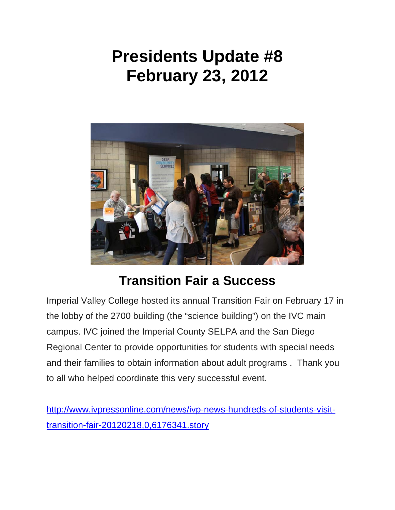## **Presidents Update #8 February 23, 2012**



## **Transition Fair a Success**

Imperial Valley College hosted its annual Transition Fair on February 17 in the lobby of the 2700 building (the "science building") on the IVC main campus. IVC joined the Imperial County SELPA and the San Diego Regional Center to provide opportunities for students with special needs and their families to obtain information about adult programs. Thank you to all who helped coordinate this very successful event.

http://www.ivpressonline.com/news/ivp-news-hundreds-of-students-visittransition-fair-20120218.0.6176341.story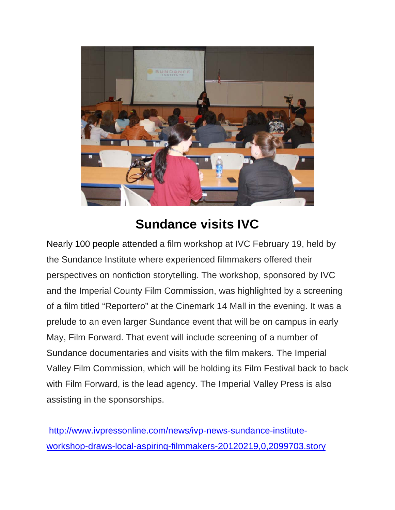

## **Sundance visits IVC**

Nearly 100 people attended a film workshop at IVC February 19, held by the Sundance Institute where experienced filmmakers offered their perspectives on nonfiction storytelling. The workshop, sponsored by IVC and the Imperial County Film Commission, was highlighted by a screening of a film titled "Reportero" at the Cinemark 14 Mall in the evening. It was a prelude to an even larger Sundance event that will be on campus in early May, Film Forward. That event will include screening of a number of Sundance documentaries and visits with the film makers. The Imperial Valley Film Commission, which will be holding its Film Festival back to back with Film Forward, is the lead agency. The Imperial Valley Press is also assisting in the sponsorships.

http://www.ivpressonline.com/news/ivp-news-sundance-instituteworkshop-draws-local-aspiring-filmmakers-20120219,0,2099703.story